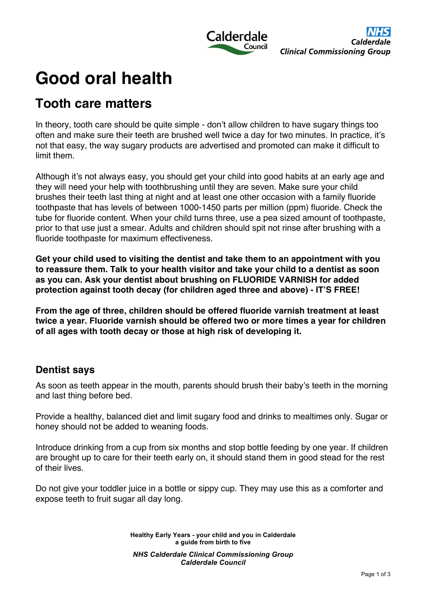

# **Good oral health**

## **Tooth care matters**

In theory, tooth care should be quite simple - don't allow children to have sugary things too often and make sure their teeth are brushed well twice a day for two minutes. In practice, it's not that easy, the way sugary products are advertised and promoted can make it difficult to limit them.

Although it's not always easy, you should get your child into good habits at an early age and they will need your help with toothbrushing until they are seven. Make sure your child brushes their teeth last thing at night and at least one other occasion with a family fluoride toothpaste that has levels of between 1000-1450 parts per million (ppm) fluoride. Check the tube for fluoride content. When your child turns three, use a pea sized amount of toothpaste, prior to that use just a smear. Adults and children should spit not rinse after brushing with a fluoride toothpaste for maximum effectiveness.

**Get your child used to visiting the dentist and take them to an appointment with you to reassure them. Talk to your health visitor and take your child to a dentist as soon as you can. Ask your dentist about brushing on FLUORIDE VARNISH for added protection against tooth decay (for children aged three and above) - IT'S FREE!**

**From the age of three, children should be offered fluoride varnish treatment at least twice a year. Fluoride varnish should be offered two or more times a year for children of all ages with tooth decay or those at high risk of developing it.**

#### **Dentist says**

As soon as teeth appear in the mouth, parents should brush their baby's teeth in the morning and last thing before bed.

Provide a healthy, balanced diet and limit sugary food and drinks to mealtimes only. Sugar or honey should not be added to weaning foods.

Introduce drinking from a cup from six months and stop bottle feeding by one year. If children are brought up to care for their teeth early on, it should stand them in good stead for the rest of their lives.

Do not give your toddler juice in a bottle or sippy cup. They may use this as a comforter and expose teeth to fruit sugar all day long.

> **Healthy Early Years - your child and you in Calderdale a guide from birth to five** *NHS Calderdale Clinical Commissioning Group Calderdale Council*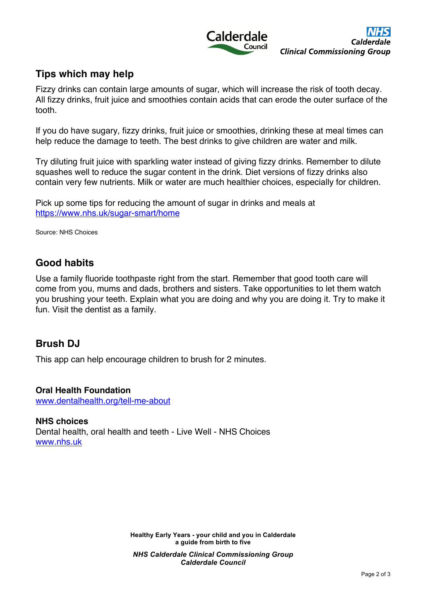

### **Tips which may help**

Fizzy drinks can contain large amounts of sugar, which will increase the risk of tooth decay. All fizzy drinks, fruit juice and smoothies contain acids that can erode the outer surface of the tooth.

If you do have sugary, fizzy drinks, fruit juice or smoothies, drinking these at meal times can help reduce the damage to teeth. The best drinks to give children are water and milk.

Try diluting fruit juice with sparkling water instead of giving fizzy drinks. Remember to dilute squashes well to reduce the sugar content in the drink. Diet versions of fizzy drinks also contain very few nutrients. Milk or water are much healthier choices, especially for children.

Pick up some tips for reducing the amount of sugar in drinks and meals at https://www.nhs.uk/sugar-smart/home

Source: NHS Choices

#### **Good habits**

Use a family fluoride toothpaste right from the start. Remember that good tooth care will come from you, mums and dads, brothers and sisters. Take opportunities to let them watch you brushing your teeth. Explain what you are doing and why you are doing it. Try to make it fun. Visit the dentist as a family.

#### **Brush DJ**

This app can help encourage children to brush for 2 minutes.

#### **Oral Health Foundation**

www.dentalhealth.org/tell-me-about

**NHS choices** Dental health, oral health and teeth - Live Well - NHS Choices www.nhs.uk

> **Healthy Early Years - your child and you in Calderdale a guide from birth to five** *NHS Calderdale Clinical Commissioning Group Calderdale Council*